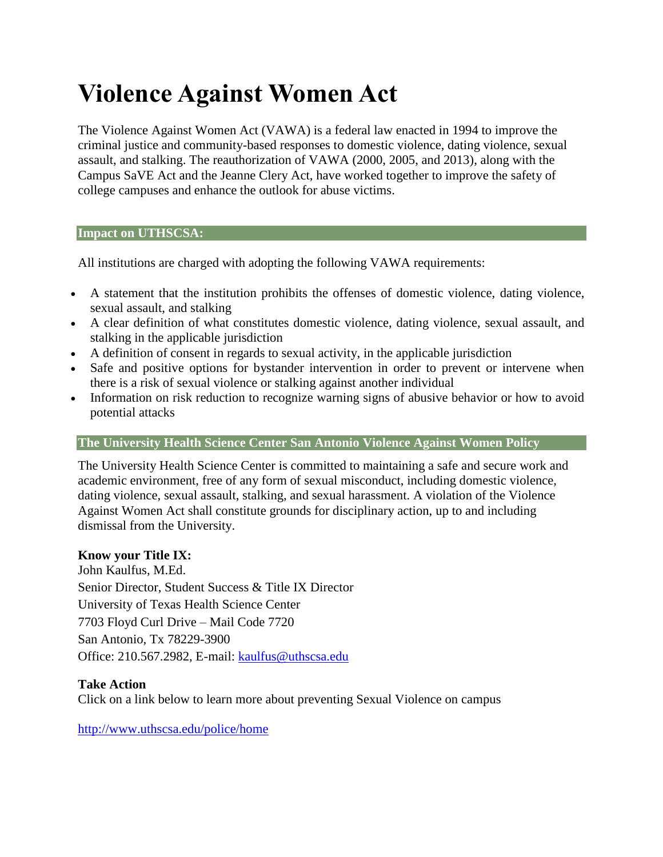# **Violence Against Women Act**

The Violence Against Women Act (VAWA) is a federal law enacted in 1994 to improve the criminal justice and community-based responses to domestic violence, dating violence, sexual assault, and stalking. The reauthorization of VAWA (2000, 2005, and 2013), along with the Campus SaVE Act and the Jeanne Clery Act, have worked together to improve the safety of college campuses and enhance the outlook for abuse victims.

#### **Impact on UTHSCSA:**

All institutions are charged with adopting the following VAWA requirements:

- A statement that the institution prohibits the offenses of domestic violence, dating violence, sexual assault, and stalking
- A clear definition of what constitutes domestic violence, dating violence, sexual assault, and stalking in the applicable jurisdiction
- A definition of consent in regards to sexual activity, in the applicable jurisdiction
- Safe and positive options for bystander intervention in order to prevent or intervene when there is a risk of sexual violence or stalking against another individual
- Information on risk reduction to recognize warning signs of abusive behavior or how to avoid potential attacks

#### **The University Health Science Center San Antonio Violence Against Women Policy**

The University Health Science Center is committed to maintaining a safe and secure work and academic environment, free of any form of sexual misconduct, including domestic violence, dating violence, sexual assault, stalking, and sexual harassment. A violation of the Violence Against Women Act shall constitute grounds for disciplinary action, up to and including dismissal from the University.

#### **Know your Title IX:**

John Kaulfus, M.Ed. Senior Director, Student Success & Title IX Director University of Texas Health Science Center 7703 Floyd Curl Drive – Mail Code 7720 San Antonio, Tx 78229-3900 Office: 210.567.2982, E-mail: [kaulfus@uthscsa.edu](mailto:kaulfus@uthscsa.edu)

#### **Take Action**

Click on a link below to learn more about preventing Sexual Violence on campus

<http://www.uthscsa.edu/police/home>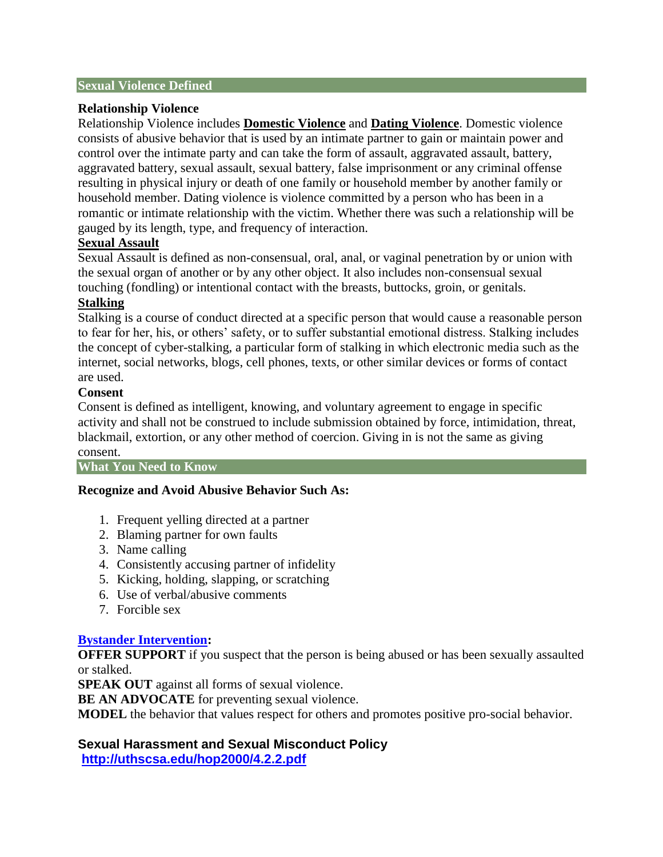#### **Sexual Violence Defined**

#### **Relationship Violence**

Relationship Violence includes **Domestic Violence** and **Dating Violence**. Domestic violence consists of abusive behavior that is used by an intimate partner to gain or maintain power and control over the intimate party and can take the form of assault, aggravated assault, battery, aggravated battery, sexual assault, sexual battery, false imprisonment or any criminal offense resulting in physical injury or death of one family or household member by another family or household member. Dating violence is violence committed by a person who has been in a romantic or intimate relationship with the victim. Whether there was such a relationship will be gauged by its length, type, and frequency of interaction.

#### **Sexual Assault**

Sexual Assault is defined as non-consensual, oral, anal, or vaginal penetration by or union with the sexual organ of another or by any other object. It also includes non-consensual sexual touching (fondling) or intentional contact with the breasts, buttocks, groin, or genitals.

#### **Stalking**

Stalking is a course of conduct directed at a specific person that would cause a reasonable person to fear for her, his, or others' safety, or to suffer substantial emotional distress. Stalking includes the concept of cyber-stalking, a particular form of stalking in which electronic media such as the internet, social networks, blogs, cell phones, texts, or other similar devices or forms of contact are used.

#### **Consent**

Consent is defined as intelligent, knowing, and voluntary agreement to engage in specific activity and shall not be construed to include submission obtained by force, intimidation, threat, blackmail, extortion, or any other method of coercion. Giving in is not the same as giving consent.

**What You Need to Know**

#### **Recognize and Avoid Abusive Behavior Such As:**

- 1. Frequent yelling directed at a partner
- 2. Blaming partner for own faults
- 3. Name calling
- 4. Consistently accusing partner of infidelity
- 5. Kicking, holding, slapping, or scratching
- 6. Use of verbal/abusive comments
- 7. Forcible sex

## **[Bystander Intervention:](http://www.uthscsa.edu/sites/default/files/police/2015InterveningtoPreventDomesticViolence.pdf)**

**OFFER SUPPORT** if you suspect that the person is being abused or has been sexually assaulted or stalked.

**SPEAK OUT** against all forms of sexual violence.

**BE AN ADVOCATE** for preventing sexual violence.

**MODEL** the behavior that values respect for others and promotes positive pro-social behavior.

## **Sexual Harassment and Sexual Misconduct Policy**

**<http://uthscsa.edu/hop2000/4.2.2.pdf>**